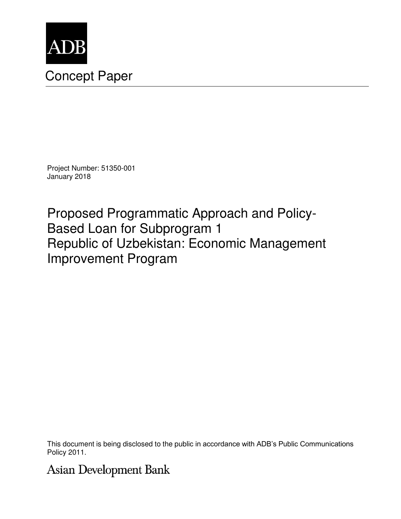

# Concept Paper

Project Number: 51350-001 January 2018

Proposed Programmatic Approach and Policy-Based Loan for Subprogram 1 Republic of Uzbekistan: Economic Management Improvement Program

This document is being disclosed to the public in accordance with ADB's Public Communications Policy 2011.

**Asian Development Bank**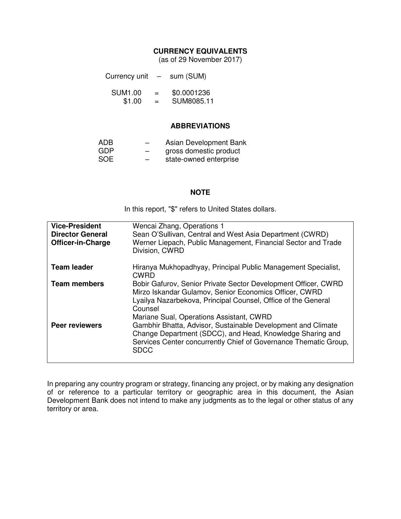#### **CURRENCY EQUIVALENTS**

(as of 29 November 2017)

| Currency unit | - | sum (SUM) |
|---------------|---|-----------|
|               |   |           |

| <b>SUM1.00</b><br>= |   | \$0.0001236 |
|---------------------|---|-------------|
| \$1.00              | = | SUM8085.11  |

#### **ABBREVIATIONS**

| ADB.       | _ | Asian Development Bank |
|------------|---|------------------------|
| <b>GDP</b> | – | gross domestic product |
|            |   |                        |

SOE – state-owned enterprise

#### **NOTE**

In this report, "\$" refers to United States dollars.

| <b>Vice-President</b><br><b>Director General</b><br><b>Officer-in-Charge</b> | Wencai Zhang, Operations 1<br>Sean O'Sullivan, Central and West Asia Department (CWRD)<br>Werner Liepach, Public Management, Financial Sector and Trade<br>Division, CWRD                                                                        |
|------------------------------------------------------------------------------|--------------------------------------------------------------------------------------------------------------------------------------------------------------------------------------------------------------------------------------------------|
| <b>Team leader</b>                                                           | Hiranya Mukhopadhyay, Principal Public Management Specialist,<br><b>CWRD</b>                                                                                                                                                                     |
| <b>Team members</b>                                                          | Bobir Gafurov, Senior Private Sector Development Officer, CWRD<br>Mirzo Iskandar Gulamov, Senior Economics Officer, CWRD<br>Lyailya Nazarbekova, Principal Counsel, Office of the General<br>Counsel<br>Mariane Sual, Operations Assistant, CWRD |
| <b>Peer reviewers</b>                                                        | Gambhir Bhatta, Advisor, Sustainable Development and Climate<br>Change Department (SDCC), and Head, Knowledge Sharing and<br>Services Center concurrently Chief of Governance Thematic Group,<br><b>SDCC</b>                                     |

In preparing any country program or strategy, financing any project, or by making any designation of or reference to a particular territory or geographic area in this document, the Asian Development Bank does not intend to make any judgments as to the legal or other status of any territory or area.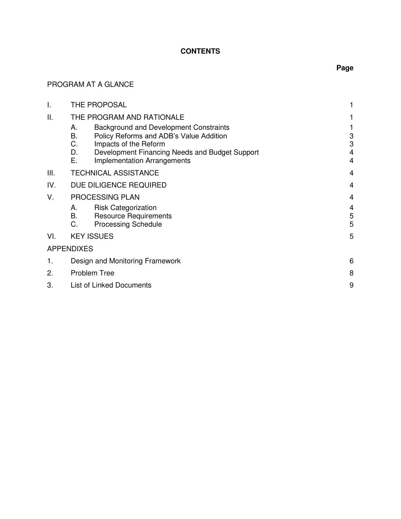## **CONTENTS**

## PROGRAM AT A GLANCE

| I.   |                            | THE PROPOSAL                                                                                                                                                                                              |                               |
|------|----------------------------|-----------------------------------------------------------------------------------------------------------------------------------------------------------------------------------------------------------|-------------------------------|
| ΙΙ.  |                            | THE PROGRAM AND RATIONALE                                                                                                                                                                                 |                               |
|      | А.<br>B.<br>C.<br>D.<br>Ε. | <b>Background and Development Constraints</b><br>Policy Reforms and ADB's Value Addition<br>Impacts of the Reform<br>Development Financing Needs and Budget Support<br><b>Implementation Arrangements</b> | 3<br>3<br>4<br>$\overline{4}$ |
| III. |                            | <b>TECHNICAL ASSISTANCE</b>                                                                                                                                                                               | 4                             |
| IV.  |                            | DUE DILIGENCE REQUIRED                                                                                                                                                                                    | 4                             |
| V.   |                            | PROCESSING PLAN                                                                                                                                                                                           | 4                             |
|      | А.<br>В.<br>C.             | <b>Risk Categorization</b><br><b>Resource Requirements</b><br><b>Processing Schedule</b>                                                                                                                  | 4<br>5<br>5                   |
| VI.  |                            | <b>KEY ISSUES</b>                                                                                                                                                                                         | 5                             |
|      | <b>APPENDIXES</b>          |                                                                                                                                                                                                           |                               |
| 1.   |                            | Design and Monitoring Framework                                                                                                                                                                           | 6                             |
| 2.   |                            | <b>Problem Tree</b>                                                                                                                                                                                       | 8                             |
| 3.   |                            | List of Linked Documents                                                                                                                                                                                  | 9                             |
|      |                            |                                                                                                                                                                                                           |                               |

# **Page**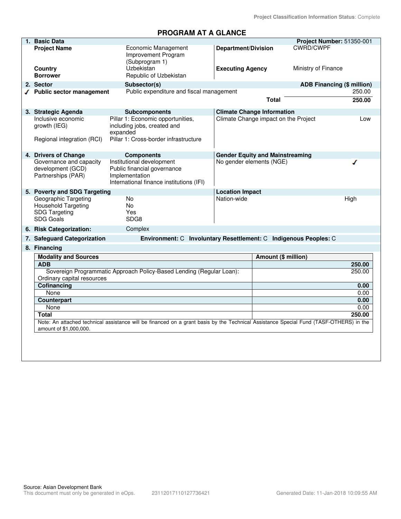### **PROGRAM AT A GLANCE**

| 1. | <b>Basic Data</b>                                                                              |                                                                                                                                        |                                        |                     | Project Number: 51350-001         |              |
|----|------------------------------------------------------------------------------------------------|----------------------------------------------------------------------------------------------------------------------------------------|----------------------------------------|---------------------|-----------------------------------|--------------|
|    | <b>Project Name</b>                                                                            | <b>Economic Management</b><br>Improvement Program<br>(Subprogram 1)                                                                    | <b>Department/Division</b>             |                     | <b>CWRD/CWPF</b>                  |              |
|    | Country<br><b>Borrower</b>                                                                     | Uzbekistan<br>Republic of Uzbekistan                                                                                                   | <b>Executing Agency</b>                |                     | Ministry of Finance               |              |
|    | 2. Sector                                                                                      | Subsector(s)                                                                                                                           |                                        |                     | <b>ADB Financing (\$ million)</b> |              |
|    | √ Public sector management                                                                     | Public expenditure and fiscal management                                                                                               |                                        |                     |                                   | 250.00       |
|    |                                                                                                |                                                                                                                                        |                                        | <b>Total</b>        |                                   | 250.00       |
|    | 3. Strategic Agenda                                                                            | <b>Subcomponents</b>                                                                                                                   | <b>Climate Change Information</b>      |                     |                                   |              |
|    | Inclusive economic<br>growth (IEG)<br>Regional integration (RCI)                               | Pillar 1: Economic opportunities,<br>including jobs, created and<br>expanded<br>Pillar 1: Cross-border infrastructure                  | Climate Change impact on the Project   |                     |                                   | Low          |
|    | 4. Drivers of Change                                                                           | <b>Components</b>                                                                                                                      | <b>Gender Equity and Mainstreaming</b> |                     |                                   |              |
|    | Governance and capacity<br>development (GCD)<br>Partnerships (PAR)                             | Institutional development<br>Public financial governance<br>Implementation<br>International finance institutions (IFI)                 | No gender elements (NGE)               |                     |                                   |              |
|    | 5. Poverty and SDG Targeting                                                                   |                                                                                                                                        | <b>Location Impact</b>                 |                     |                                   |              |
|    | Geographic Targeting<br><b>Household Targeting</b><br><b>SDG Targeting</b><br><b>SDG Goals</b> | No<br>No<br>Yes<br>SDG8                                                                                                                | Nation-wide                            |                     |                                   | High         |
|    | 6. Risk Categorization:                                                                        | Complex                                                                                                                                |                                        |                     |                                   |              |
|    | 7. Safeguard Categorization                                                                    | Environment: C Involuntary Resettlement: C Indigenous Peoples: C                                                                       |                                        |                     |                                   |              |
|    | 8. Financing                                                                                   |                                                                                                                                        |                                        |                     |                                   |              |
|    | <b>Modality and Sources</b>                                                                    |                                                                                                                                        |                                        | Amount (\$ million) |                                   |              |
|    | <b>ADB</b>                                                                                     |                                                                                                                                        |                                        |                     |                                   | 250.00       |
|    | Ordinary capital resources                                                                     | Sovereign Programmatic Approach Policy-Based Lending (Regular Loan):                                                                   |                                        |                     |                                   | 250.00       |
|    | Cofinancing                                                                                    |                                                                                                                                        |                                        |                     |                                   | 0.00         |
|    | None                                                                                           |                                                                                                                                        |                                        |                     |                                   | 0.00         |
|    | Counterpart                                                                                    |                                                                                                                                        |                                        |                     |                                   | 0.00<br>0.00 |
|    | None<br><b>Total</b>                                                                           |                                                                                                                                        |                                        |                     |                                   | 250.00       |
|    |                                                                                                | Note: An attached technical assistance will be financed on a grant basis by the Technical Assistance Special Fund (TASF-OTHERS) in the |                                        |                     |                                   |              |
|    | amount of \$1,000,000.                                                                         |                                                                                                                                        |                                        |                     |                                   |              |
|    |                                                                                                |                                                                                                                                        |                                        |                     |                                   |              |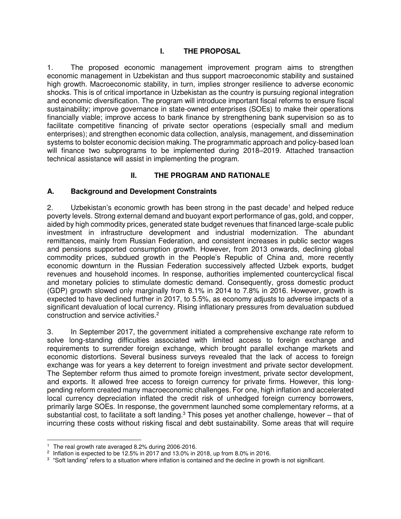#### **I. THE PROPOSAL**

1. The proposed economic management improvement program aims to strengthen economic management in Uzbekistan and thus support macroeconomic stability and sustained high growth. Macroeconomic stability, in turn, implies stronger resilience to adverse economic shocks. This is of critical importance in Uzbekistan as the country is pursuing regional integration and economic diversification. The program will introduce important fiscal reforms to ensure fiscal sustainability; improve governance in state-owned enterprises (SOEs) to make their operations financially viable; improve access to bank finance by strengthening bank supervision so as to facilitate competitive financing of private sector operations (especially small and medium enterprises); and strengthen economic data collection, analysis, management, and dissemination systems to bolster economic decision making. The programmatic approach and policy-based loan will finance two subprograms to be implemented during 2018–2019. Attached transaction technical assistance will assist in implementing the program.

### **II. THE PROGRAM AND RATIONALE**

#### **A. Background and Development Constraints**

2. Uzbekistan's economic growth has been strong in the past decade<sup>1</sup> and helped reduce poverty levels. Strong external demand and buoyant export performance of gas, gold, and copper, aided by high commodity prices, generated state budget revenues that financed large-scale public investment in infrastructure development and industrial modernization. The abundant remittances, mainly from Russian Federation, and consistent increases in public sector wages and pensions supported consumption growth. However, from 2013 onwards, declining global commodity prices, subdued growth in the People's Republic of China and, more recently economic downturn in the Russian Federation successively affected Uzbek exports, budget revenues and household incomes. In response, authorities implemented countercyclical fiscal and monetary policies to stimulate domestic demand. Consequently, gross domestic product (GDP) growth slowed only marginally from 8.1% in 2014 to 7.8% in 2016. However, growth is expected to have declined further in 2017, to 5.5%, as economy adjusts to adverse impacts of a significant devaluation of local currency. Rising inflationary pressures from devaluation subdued construction and service activities.<sup>2</sup>

3. In September 2017, the government initiated a comprehensive exchange rate reform to solve long-standing difficulties associated with limited access to foreign exchange and requirements to surrender foreign exchange, which brought parallel exchange markets and economic distortions. Several business surveys revealed that the lack of access to foreign exchange was for years a key deterrent to foreign investment and private sector development. The September reform thus aimed to promote foreign investment, private sector development, and exports. It allowed free access to foreign currency for private firms. However, this longpending reform created many macroeconomic challenges. For one, high inflation and accelerated local currency depreciation inflated the credit risk of unhedged foreign currency borrowers, primarily large SOEs. In response, the government launched some complementary reforms, at a substantial cost, to facilitate a soft landing.<sup>3</sup> This poses yet another challenge, however – that of incurring these costs without risking fiscal and debt sustainability. Some areas that will require

 <sup>1</sup> The real growth rate averaged 8.2% during 2006-2016.

<sup>&</sup>lt;sup>2</sup> Inflation is expected to be 12.5% in 2017 and 13.0% in 2018, up from 8.0% in 2016.

<sup>&</sup>lt;sup>3</sup> "Soft landing" refers to a situation where inflation is contained and the decline in growth is not significant.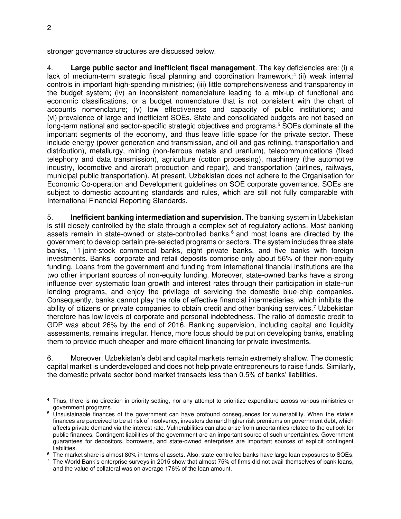stronger governance structures are discussed below.

4. **Large public sector and inefficient fiscal management**. The key deficiencies are: (i) a lack of medium-term strategic fiscal planning and coordination framework;<sup>4</sup> (ii) weak internal controls in important high-spending ministries; (iii) little comprehensiveness and transparency in the budget system; (iv) an inconsistent nomenclature leading to a mix-up of functional and economic classifications, or a budget nomenclature that is not consistent with the chart of accounts nomenclature; (v) low effectiveness and capacity of public institutions; and (vi) prevalence of large and inefficient SOEs. State and consolidated budgets are not based on long-term national and sector-specific strategic objectives and programs.<sup>5</sup> SOEs dominate all the important segments of the economy, and thus leave little space for the private sector. These include energy (power generation and transmission, and oil and gas refining, transportation and distribution), metallurgy, mining (non-ferrous metals and uranium), telecommunications (fixed telephony and data transmission), agriculture (cotton processing), machinery (the automotive industry, locomotive and aircraft production and repair), and transportation (airlines, railways, municipal public transportation). At present, Uzbekistan does not adhere to the Organisation for Economic Co-operation and Development guidelines on SOE corporate governance. SOEs are subject to domestic accounting standards and rules, which are still not fully comparable with International Financial Reporting Standards.

5. **Inefficient banking intermediation and supervision.** The banking system in Uzbekistan is still closely controlled by the state through a complex set of regulatory actions. Most banking assets remain in state-owned or state-controlled banks,<sup>6</sup> and most loans are directed by the government to develop certain pre-selected programs or sectors. The system includes three state banks, 11 joint-stock commercial banks, eight private banks, and five banks with foreign investments. Banks' corporate and retail deposits comprise only about 56% of their non-equity funding. Loans from the government and funding from international financial institutions are the two other important sources of non-equity funding. Moreover, state-owned banks have a strong influence over systematic loan growth and interest rates through their participation in state-run lending programs, and enjoy the privilege of servicing the domestic blue-chip companies. Consequently, banks cannot play the role of effective financial intermediaries, which inhibits the ability of citizens or private companies to obtain credit and other banking services.<sup>7</sup> Uzbekistan therefore has low levels of corporate and personal indebtedness. The ratio of domestic credit to GDP was about 26% by the end of 2016. Banking supervision, including capital and liquidity assessments, remains irregular. Hence, more focus should be put on developing banks, enabling them to provide much cheaper and more efficient financing for private investments.

6. Moreover, Uzbekistan's debt and capital markets remain extremely shallow. The domestic capital market is underdeveloped and does not help private entrepreneurs to raise funds. Similarly, the domestic private sector bond market transacts less than 0.5% of banks' liabilities.

 4 Thus, there is no direction in priority setting, nor any attempt to prioritize expenditure across various ministries or government programs.

<sup>5</sup> Unsustainable finances of the government can have profound consequences for vulnerability. When the state's finances are perceived to be at risk of insolvency, investors demand higher risk premiums on government debt, which affects private demand via the interest rate. Vulnerabilities can also arise from uncertainties related to the outlook for public finances. Contingent liabilities of the government are an important source of such uncertainties. Government guarantees for depositors, borrowers, and state-owned enterprises are important sources of explicit contingent liabilities.

 $^6\,$  The market share is almost 80% in terms of assets. Also, state-controlled banks have large loan exposures to SOEs.

 $^7$  The World Bank's enterprise surveys in 2015 show that almost 75% of firms did not avail themselves of bank loans, and the value of collateral was on average 176% of the loan amount.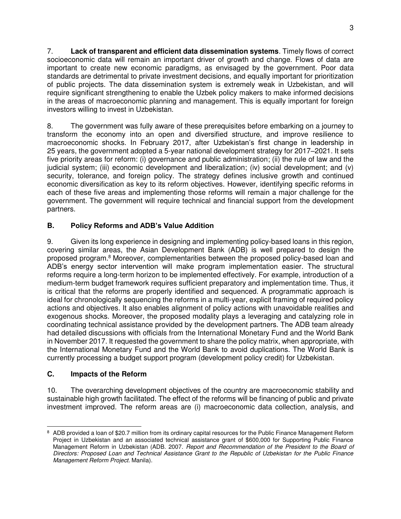7. **Lack of transparent and efficient data dissemination systems**. Timely flows of correct socioeconomic data will remain an important driver of growth and change. Flows of data are important to create new economic paradigms, as envisaged by the government. Poor data standards are detrimental to private investment decisions, and equally important for prioritization of public projects. The data dissemination system is extremely weak in Uzbekistan, and will require significant strengthening to enable the Uzbek policy makers to make informed decisions in the areas of macroeconomic planning and management. This is equally important for foreign investors willing to invest in Uzbekistan.

8. The government was fully aware of these prerequisites before embarking on a journey to transform the economy into an open and diversified structure, and improve resilience to macroeconomic shocks. In February 2017, after Uzbekistan's first change in leadership in 25 years, the government adopted a 5-year national development strategy for 2017–2021. It sets five priority areas for reform: (i) governance and public administration; (ii) the rule of law and the judicial system; (iii) economic development and liberalization; (iv) social development; and (v) security, tolerance, and foreign policy. The strategy defines inclusive growth and continued economic diversification as key to its reform objectives. However, identifying specific reforms in each of these five areas and implementing those reforms will remain a major challenge for the government. The government will require technical and financial support from the development partners.

## **B. Policy Reforms and ADB's Value Addition**

9. Given its long experience in designing and implementing policy-based loans in this region, covering similar areas, the Asian Development Bank (ADB) is well prepared to design the proposed program.<sup>8</sup> Moreover, complementarities between the proposed policy-based loan and ADB's energy sector intervention will make program implementation easier. The structural reforms require a long-term horizon to be implemented effectively. For example, introduction of a medium-term budget framework requires sufficient preparatory and implementation time. Thus, it is critical that the reforms are properly identified and sequenced. A programmatic approach is ideal for chronologically sequencing the reforms in a multi-year, explicit framing of required policy actions and objectives. It also enables alignment of policy actions with unavoidable realities and exogenous shocks. Moreover, the proposed modality plays a leveraging and catalyzing role in coordinating technical assistance provided by the development partners. The ADB team already had detailed discussions with officials from the International Monetary Fund and the World Bank in November 2017. It requested the government to share the policy matrix, when appropriate, with the International Monetary Fund and the World Bank to avoid duplications. The World Bank is currently processing a budget support program (development policy credit) for Uzbekistan.

## **C. Impacts of the Reform**

10. The overarching development objectives of the country are macroeconomic stability and sustainable high growth facilitated. The effect of the reforms will be financing of public and private investment improved. The reform areas are (i) macroeconomic data collection, analysis, and

 $\overline{a}$ 8 ADB provided a loan of \$20.7 million from its ordinary capital resources for the Public Finance Management Reform Project in Uzbekistan and an associated technical assistance grant of \$600,000 for Supporting Public Finance Management Reform in Uzbekistan (ADB. 2007. *Report and Recommendation of the President to the Board of Directors: Proposed Loan and Technical Assistance Grant to the Republic of Uzbekistan for the Public Finance Management Reform Project*. Manila).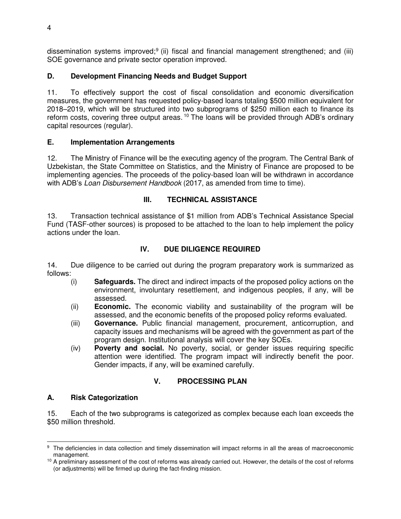dissemination systems improved;<sup>9</sup> (ii) fiscal and financial management strengthened; and (iii) SOE governance and private sector operation improved.

## **D. Development Financing Needs and Budget Support**

11. To effectively support the cost of fiscal consolidation and economic diversification measures, the government has requested policy-based loans totaling \$500 million equivalent for 2018–2019, which will be structured into two subprograms of \$250 million each to finance its reform costs, covering three output areas.<sup>10</sup> The loans will be provided through ADB's ordinary capital resources (regular).

#### **E. Implementation Arrangements**

12. The Ministry of Finance will be the executing agency of the program. The Central Bank of Uzbekistan, the State Committee on Statistics, and the Ministry of Finance are proposed to be implementing agencies. The proceeds of the policy-based loan will be withdrawn in accordance with ADB's *Loan Disbursement Handbook* (2017, as amended from time to time).

#### **III. TECHNICAL ASSISTANCE**

13. Transaction technical assistance of \$1 million from ADB's Technical Assistance Special Fund (TASF-other sources) is proposed to be attached to the loan to help implement the policy actions under the loan.

### **IV. DUE DILIGENCE REQUIRED**

14. Due diligence to be carried out during the program preparatory work is summarized as follows:

- (i) **Safeguards.** The direct and indirect impacts of the proposed policy actions on the environment, involuntary resettlement, and indigenous peoples, if any, will be assessed.
- (ii) **Economic.** The economic viability and sustainability of the program will be assessed, and the economic benefits of the proposed policy reforms evaluated.
- (iii) **Governance.** Public financial management, procurement, anticorruption, and capacity issues and mechanisms will be agreed with the government as part of the program design. Institutional analysis will cover the key SOEs.
- (iv) **Poverty and social.** No poverty, social, or gender issues requiring specific attention were identified. The program impact will indirectly benefit the poor. Gender impacts, if any, will be examined carefully.

## **V. PROCESSING PLAN**

#### **A. Risk Categorization**

15. Each of the two subprograms is categorized as complex because each loan exceeds the \$50 million threshold.

**EXECTS THE DEFITED THE CONCOCOLD THE CONCOCOLD THE CONCOCOLD FOR THE SET ALLA CONCOCOLD FOR THE SET ARET OF TH**<br>The deficiencies in data collection and timely dissemination will impact reforms in all the areas of macroeco management.

<sup>&</sup>lt;sup>10</sup> A preliminary assessment of the cost of reforms was already carried out. However, the details of the cost of reforms (or adjustments) will be firmed up during the fact-finding mission.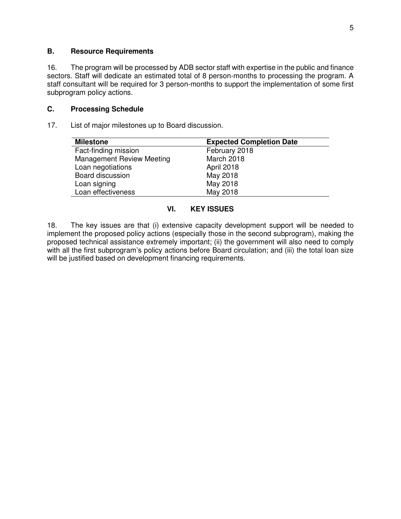#### **B. Resource Requirements**

16. The program will be processed by ADB sector staff with expertise in the public and finance sectors. Staff will dedicate an estimated total of 8 person-months to processing the program. A staff consultant will be required for 3 person-months to support the implementation of some first subprogram policy actions.

#### **C. Processing Schedule**

17. List of major milestones up to Board discussion.

| <b>Milestone</b>                 | <b>Expected Completion Date</b> |
|----------------------------------|---------------------------------|
| Fact-finding mission             | February 2018                   |
| <b>Management Review Meeting</b> | March 2018                      |
| Loan negotiations                | April 2018                      |
| Board discussion                 | May 2018                        |
| Loan signing                     | May 2018                        |
| Loan effectiveness               | May 2018                        |

### **VI. KEY ISSUES**

18. The key issues are that (i) extensive capacity development support will be needed to implement the proposed policy actions (especially those in the second subprogram), making the proposed technical assistance extremely important; (ii) the government will also need to comply with all the first subprogram's policy actions before Board circulation; and (iii) the total loan size will be justified based on development financing requirements.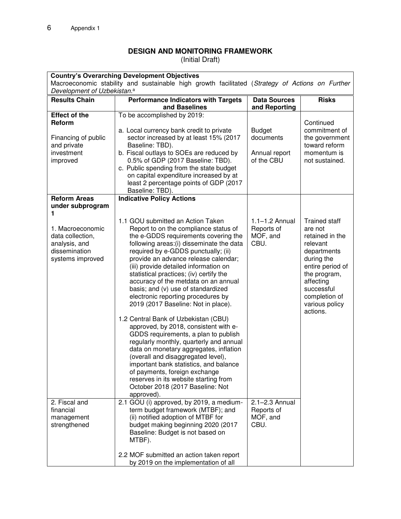# **DESIGN AND MONITORING FRAMEWORK**

(Initial Draft)

| <b>Country's Overarching Development Objectives</b>                                             |                                                                                  |                     |                                 |  |  |
|-------------------------------------------------------------------------------------------------|----------------------------------------------------------------------------------|---------------------|---------------------------------|--|--|
| Macroeconomic stability and sustainable high growth facilitated (Strategy of Actions on Further |                                                                                  |                     |                                 |  |  |
| Development of Uzbekistan. <sup>a</sup>                                                         |                                                                                  |                     |                                 |  |  |
| <b>Results Chain</b>                                                                            | <b>Performance Indicators with Targets</b>                                       | <b>Data Sources</b> | <b>Risks</b>                    |  |  |
| <b>Effect of the</b>                                                                            | and Baselines<br>To be accomplished by 2019:                                     | and Reporting       |                                 |  |  |
| Reform                                                                                          |                                                                                  |                     | Continued                       |  |  |
|                                                                                                 | a. Local currency bank credit to private                                         | <b>Budget</b>       | commitment of                   |  |  |
| Financing of public                                                                             | sector increased by at least 15% (2017                                           | documents           | the government                  |  |  |
| and private                                                                                     | Baseline: TBD).                                                                  |                     | toward reform                   |  |  |
| investment                                                                                      | b. Fiscal outlays to SOEs are reduced by                                         | Annual report       | momentum is                     |  |  |
| improved                                                                                        | 0.5% of GDP (2017 Baseline: TBD).                                                | of the CBU          | not sustained.                  |  |  |
|                                                                                                 | c. Public spending from the state budget                                         |                     |                                 |  |  |
|                                                                                                 | on capital expenditure increased by at                                           |                     |                                 |  |  |
|                                                                                                 | least 2 percentage points of GDP (2017                                           |                     |                                 |  |  |
| <b>Reform Areas</b>                                                                             | Baseline: TBD).<br><b>Indicative Policy Actions</b>                              |                     |                                 |  |  |
| under subprogram                                                                                |                                                                                  |                     |                                 |  |  |
| 1                                                                                               |                                                                                  |                     |                                 |  |  |
|                                                                                                 | 1.1 GOU submitted an Action Taken                                                | $1.1 - 1.2$ Annual  | <b>Trained staff</b>            |  |  |
| 1. Macroeconomic                                                                                | Report to on the compliance status of                                            | Reports of          | are not                         |  |  |
| data collection,                                                                                | the e-GDDS requirements covering the                                             | MOF, and<br>CBU.    | retained in the                 |  |  |
| analysis, and<br>dissemination                                                                  | following areas: (i) disseminate the data<br>required by e-GDDS punctually; (ii) |                     | relevant<br>departments         |  |  |
| systems improved                                                                                | provide an advance release calendar;                                             |                     | during the                      |  |  |
|                                                                                                 | (iii) provide detailed information on                                            |                     | entire period of                |  |  |
|                                                                                                 | statistical practices; (iv) certify the                                          |                     | the program,                    |  |  |
|                                                                                                 | accuracy of the metdata on an annual                                             |                     | affecting                       |  |  |
|                                                                                                 | basis; and (v) use of standardized                                               |                     | successful                      |  |  |
|                                                                                                 | electronic reporting procedures by<br>2019 (2017 Baseline: Not in place).        |                     | completion of<br>various policy |  |  |
|                                                                                                 |                                                                                  |                     | actions.                        |  |  |
|                                                                                                 | 1.2 Central Bank of Uzbekistan (CBU)                                             |                     |                                 |  |  |
|                                                                                                 | approved, by 2018, consistent with e-                                            |                     |                                 |  |  |
|                                                                                                 | GDDS requirements, a plan to publish                                             |                     |                                 |  |  |
|                                                                                                 | regularly monthly, quarterly and annual                                          |                     |                                 |  |  |
|                                                                                                 | data on monetary aggregates, inflation                                           |                     |                                 |  |  |
|                                                                                                 | (overall and disaggregated level),                                               |                     |                                 |  |  |
|                                                                                                 | important bank statistics, and balance<br>of payments, foreign exchange          |                     |                                 |  |  |
|                                                                                                 | reserves in its website starting from                                            |                     |                                 |  |  |
|                                                                                                 | October 2018 (2017 Baseline: Not                                                 |                     |                                 |  |  |
|                                                                                                 | approved).                                                                       |                     |                                 |  |  |
| 2. Fiscal and                                                                                   | 2.1 GOU (i) approved, by 2019, a medium-                                         | $2.1 - 2.3$ Annual  |                                 |  |  |
| financial                                                                                       | term budget framework (MTBF); and                                                | Reports of          |                                 |  |  |
| management                                                                                      | (ii) notified adoption of MTBF for                                               | MOF, and            |                                 |  |  |
| strengthened                                                                                    | budget making beginning 2020 (2017<br>Baseline: Budget is not based on           | CBU.                |                                 |  |  |
|                                                                                                 | MTBF).                                                                           |                     |                                 |  |  |
|                                                                                                 |                                                                                  |                     |                                 |  |  |
|                                                                                                 | 2.2 MOF submitted an action taken report                                         |                     |                                 |  |  |
|                                                                                                 | by 2019 on the implementation of all                                             |                     |                                 |  |  |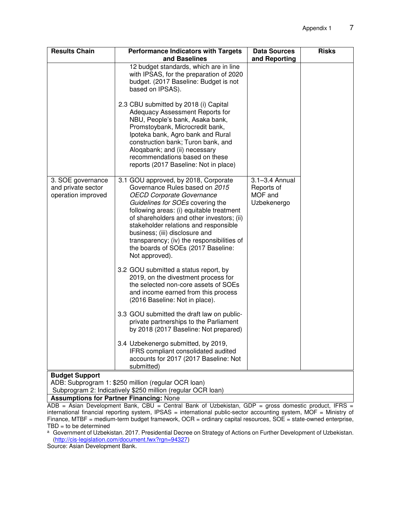| <b>Results Chain</b>                                                         | <b>Performance Indicators with Targets</b>                                                                                                                                                                                                                                                                                                                                                                                                                      | <b>Data Sources</b>          | <b>Risks</b> |  |  |
|------------------------------------------------------------------------------|-----------------------------------------------------------------------------------------------------------------------------------------------------------------------------------------------------------------------------------------------------------------------------------------------------------------------------------------------------------------------------------------------------------------------------------------------------------------|------------------------------|--------------|--|--|
|                                                                              | and Baselines<br>12 budget standards, which are in line<br>with IPSAS, for the preparation of 2020<br>budget. (2017 Baseline: Budget is not<br>based on IPSAS).<br>2.3 CBU submitted by 2018 (i) Capital<br>Adequacy Assessment Reports for<br>NBU, People's bank, Asaka bank,<br>Promstoybank, Microcredit bank,<br>Ipoteka bank, Agro bank and Rural<br>construction bank; Turon bank, and<br>Aloqabank; and (ii) necessary<br>recommendations based on these | and Reporting                |              |  |  |
| 3. SOE governance<br>and private sector                                      | reports (2017 Baseline: Not in place)<br>3.1 GOU approved, by 2018, Corporate<br>Governance Rules based on 2015                                                                                                                                                                                                                                                                                                                                                 | 3.1-3.4 Annual<br>Reports of |              |  |  |
| operation improved                                                           | <b>OECD Corporate Governance</b><br>Guidelines for SOEs covering the<br>following areas: (i) equitable treatment<br>of shareholders and other investors; (ii)<br>stakeholder relations and responsible<br>business; (iii) disclosure and<br>transparency; (iv) the responsibilities of<br>the boards of SOEs (2017 Baseline:<br>Not approved).                                                                                                                  | MOF and<br>Uzbekenergo       |              |  |  |
|                                                                              | 3.2 GOU submitted a status report, by<br>2019, on the divestment process for<br>the selected non-core assets of SOEs<br>and income earned from this process<br>(2016 Baseline: Not in place).                                                                                                                                                                                                                                                                   |                              |              |  |  |
|                                                                              | 3.3 GOU submitted the draft law on public-<br>private partnerships to the Parliament<br>by 2018 (2017 Baseline: Not prepared)                                                                                                                                                                                                                                                                                                                                   |                              |              |  |  |
|                                                                              | 3.4 Uzbekenergo submitted, by 2019,<br>IFRS compliant consolidated audited<br>accounts for 2017 (2017 Baseline: Not<br>submitted)                                                                                                                                                                                                                                                                                                                               |                              |              |  |  |
| <b>Budget Support</b><br>ADB: Subprogram 1: \$250 million (regular OCR loan) |                                                                                                                                                                                                                                                                                                                                                                                                                                                                 |                              |              |  |  |
| Subprogram 2: Indicatively \$250 million (regular OCR loan)                  |                                                                                                                                                                                                                                                                                                                                                                                                                                                                 |                              |              |  |  |

**Assumptions for Partner Financing: None** 

ADB = Asian Development Bank, CBU = Central Bank of Uzbekistan, GDP = gross domestic product, IFRS = international financial reporting system, IPSAS = international public-sector accounting system, MOF = Ministry of Finance, MTBF = medium-term budget framework, OCR = ordinary capital resources, SOE = state-owned enterprise,  $TBD =$  to be determined

a Government of Uzbekistan. 2017. Presidential Decree on Strategy of Actions on Further Development of Uzbekistan. [\(http://cis-legislation.com/document.fwx?rgn=94327\)](http://cis-legislation.com/document.fwx?rgn=94327)

Source: Asian Development Bank.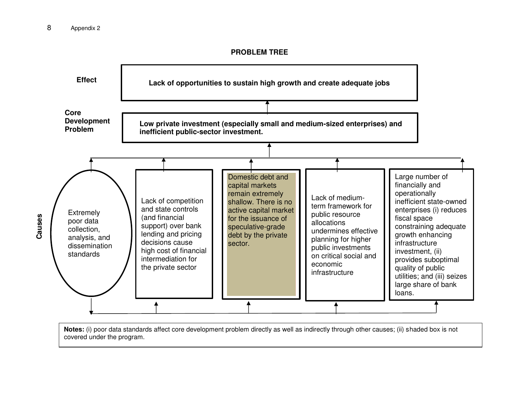**PROBLEM TREE** 



**Notes:** (i) poor data standards affect core development problem directly as well as indirectly through other causes; (ii) shaded box is not covered under the program.